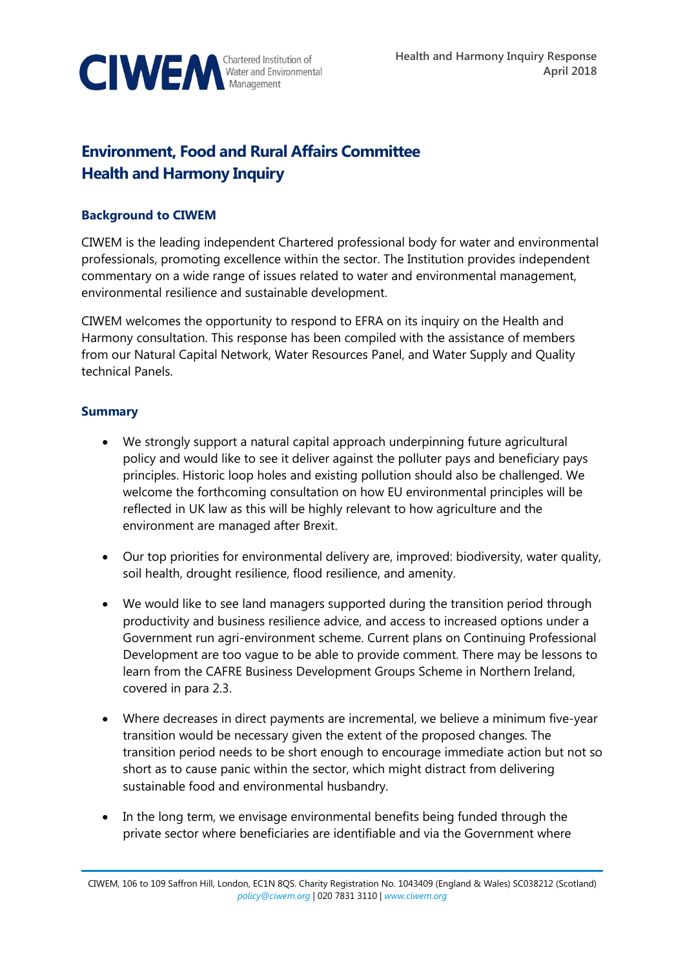

# **Environment, Food and Rural Affairs Committee Health and Harmony Inquiry**

#### **Background to CIWEM**

CIWEM is the leading independent Chartered professional body for water and environmental professionals, promoting excellence within the sector. The Institution provides independent commentary on a wide range of issues related to water and environmental management, environmental resilience and sustainable development.

CIWEM welcomes the opportunity to respond to EFRA on its inquiry on the Health and Harmony consultation. This response has been compiled with the assistance of members from our Natural Capital Network, Water Resources Panel, and Water Supply and Quality technical Panels.

#### **Summary**

- We strongly support a natural capital approach underpinning future agricultural policy and would like to see it deliver against the polluter pays and beneficiary pays principles. Historic loop holes and existing pollution should also be challenged. We welcome the forthcoming consultation on how EU environmental principles will be reflected in UK law as this will be highly relevant to how agriculture and the environment are managed after Brexit.
- Our top priorities for environmental delivery are, improved: biodiversity, water quality, soil health, drought resilience, flood resilience, and amenity.
- We would like to see land managers supported during the transition period through productivity and business resilience advice, and access to increased options under a Government run agri-environment scheme. Current plans on Continuing Professional Development are too vague to be able to provide comment. There may be lessons to learn from the CAFRE Business Development Groups Scheme in Northern Ireland, covered in para 2.3.
- Where decreases in direct payments are incremental, we believe a minimum five-year transition would be necessary given the extent of the proposed changes. The transition period needs to be short enough to encourage immediate action but not so short as to cause panic within the sector, which might distract from delivering sustainable food and environmental husbandry.
- In the long term, we envisage environmental benefits being funded through the private sector where beneficiaries are identifiable and via the Government where

CIWEM, 106 to 109 Saffron Hill, London, EC1N 8QS. Charity Registration No. 1043409 (England & Wales) SC038212 (Scotland) *[policy@ciwem.org](mailto:policy@ciwem.org)* | 020 7831 3110 | *[www.ciwem.org](http://www.ciwem.org/)*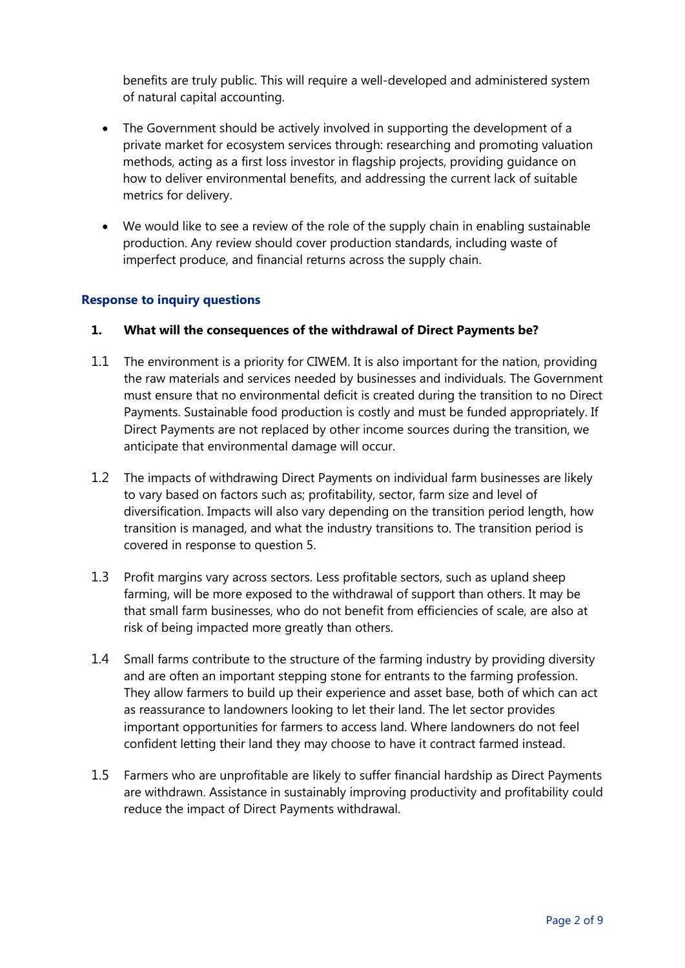benefits are truly public. This will require a well-developed and administered system of natural capital accounting.

- The Government should be actively involved in supporting the development of a private market for ecosystem services through: researching and promoting valuation methods, acting as a first loss investor in flagship projects, providing guidance on how to deliver environmental benefits, and addressing the current lack of suitable metrics for delivery.
- We would like to see a review of the role of the supply chain in enabling sustainable production. Any review should cover production standards, including waste of imperfect produce, and financial returns across the supply chain.

#### **Response to inquiry questions**

#### **1. What will the consequences of the withdrawal of Direct Payments be?**

- 1.1 The environment is a priority for CIWEM. It is also important for the nation, providing the raw materials and services needed by businesses and individuals. The Government must ensure that no environmental deficit is created during the transition to no Direct Payments. Sustainable food production is costly and must be funded appropriately. If Direct Payments are not replaced by other income sources during the transition, we anticipate that environmental damage will occur.
- 1.2 The impacts of withdrawing Direct Payments on individual farm businesses are likely to vary based on factors such as; profitability, sector, farm size and level of diversification. Impacts will also vary depending on the transition period length, how transition is managed, and what the industry transitions to. The transition period is covered in response to question 5.
- 1.3 Profit margins vary across sectors. Less profitable sectors, such as upland sheep farming, will be more exposed to the withdrawal of support than others. It may be that small farm businesses, who do not benefit from efficiencies of scale, are also at risk of being impacted more greatly than others.
- 1.4 Small farms contribute to the structure of the farming industry by providing diversity and are often an important stepping stone for entrants to the farming profession. They allow farmers to build up their experience and asset base, both of which can act as reassurance to landowners looking to let their land. The let sector provides important opportunities for farmers to access land. Where landowners do not feel confident letting their land they may choose to have it contract farmed instead.
- 1.5 Farmers who are unprofitable are likely to suffer financial hardship as Direct Payments are withdrawn. Assistance in sustainably improving productivity and profitability could reduce the impact of Direct Payments withdrawal.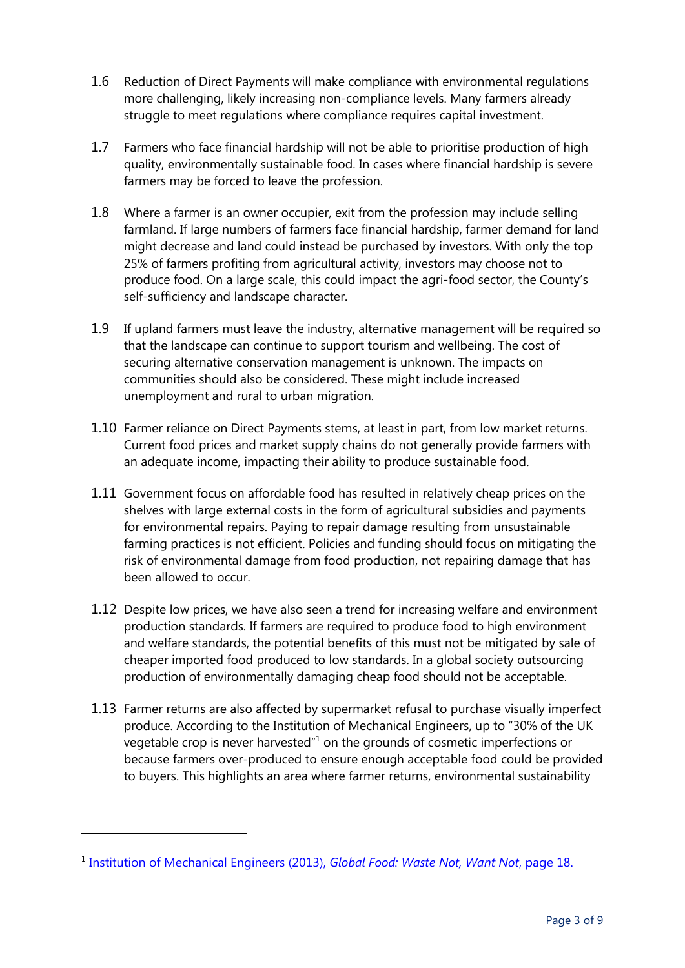- 1.6 Reduction of Direct Payments will make compliance with environmental regulations more challenging, likely increasing non-compliance levels. Many farmers already struggle to meet regulations where compliance requires capital investment.
- 1.7 Farmers who face financial hardship will not be able to prioritise production of high quality, environmentally sustainable food. In cases where financial hardship is severe farmers may be forced to leave the profession.
- 1.8 Where a farmer is an owner occupier, exit from the profession may include selling farmland. If large numbers of farmers face financial hardship, farmer demand for land might decrease and land could instead be purchased by investors. With only the top 25% of farmers profiting from agricultural activity, investors may choose not to produce food. On a large scale, this could impact the agri-food sector, the County's self-sufficiency and landscape character.
- 1.9 If upland farmers must leave the industry, alternative management will be required so that the landscape can continue to support tourism and wellbeing. The cost of securing alternative conservation management is unknown. The impacts on communities should also be considered. These might include increased unemployment and rural to urban migration.
- 1.10 Farmer reliance on Direct Payments stems, at least in part, from low market returns. Current food prices and market supply chains do not generally provide farmers with an adequate income, impacting their ability to produce sustainable food.
- 1.11 Government focus on affordable food has resulted in relatively cheap prices on the shelves with large external costs in the form of agricultural subsidies and payments for environmental repairs. Paying to repair damage resulting from unsustainable farming practices is not efficient. Policies and funding should focus on mitigating the risk of environmental damage from food production, not repairing damage that has been allowed to occur.
- 1.12 Despite low prices, we have also seen a trend for increasing welfare and environment production standards. If farmers are required to produce food to high environment and welfare standards, the potential benefits of this must not be mitigated by sale of cheaper imported food produced to low standards. In a global society outsourcing production of environmentally damaging cheap food should not be acceptable.
- 1.13 Farmer returns are also affected by supermarket refusal to purchase visually imperfect produce. According to the Institution of Mechanical Engineers, up to "30% of the UK vegetable crop is never harvested"<sup>1</sup> on the grounds of cosmetic imperfections or because farmers over-produced to ensure enough acceptable food could be provided to buyers. This highlights an area where farmer returns, environmental sustainability

<sup>&</sup>lt;sup>1</sup> [Institution of Mechanical Engineers](https://www.imeche.org/docs/default-source/default-document-library/global-food---waste-not-want-not.pdf?sfvrsn=0) (2013), *Global Food: Waste Not, Want Not*, page 18.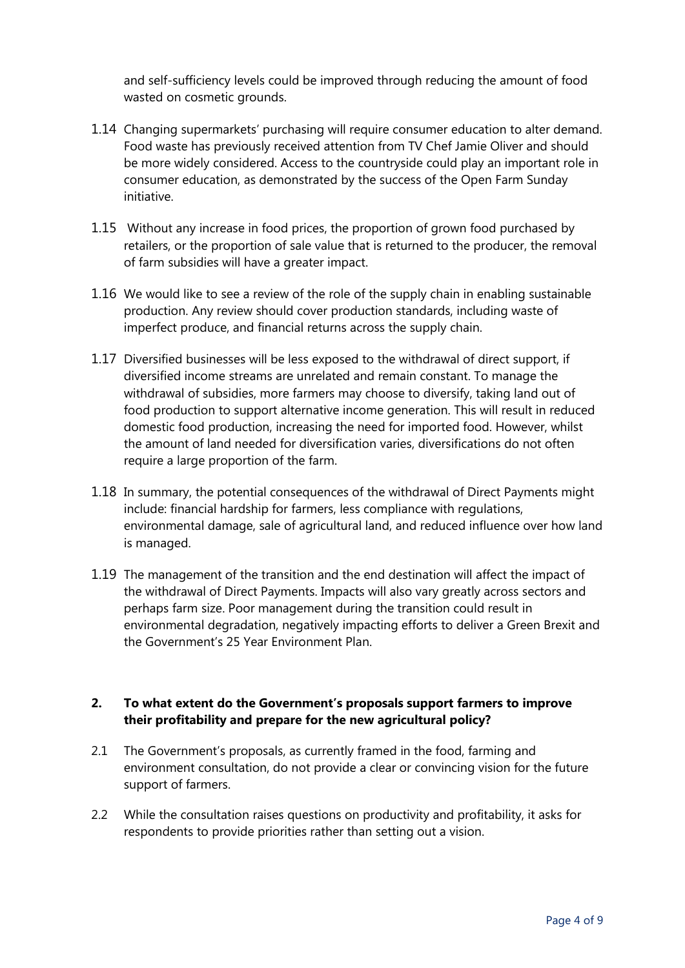and self-sufficiency levels could be improved through reducing the amount of food wasted on cosmetic grounds.

- 1.14 Changing supermarkets' purchasing will require consumer education to alter demand. Food waste has previously received attention from TV Chef Jamie Oliver and should be more widely considered. Access to the countryside could play an important role in consumer education, as demonstrated by the success of the Open Farm Sunday initiative.
- 1.15 Without any increase in food prices, the proportion of grown food purchased by retailers, or the proportion of sale value that is returned to the producer, the removal of farm subsidies will have a greater impact.
- 1.16 We would like to see a review of the role of the supply chain in enabling sustainable production. Any review should cover production standards, including waste of imperfect produce, and financial returns across the supply chain.
- 1.17 Diversified businesses will be less exposed to the withdrawal of direct support, if diversified income streams are unrelated and remain constant. To manage the withdrawal of subsidies, more farmers may choose to diversify, taking land out of food production to support alternative income generation. This will result in reduced domestic food production, increasing the need for imported food. However, whilst the amount of land needed for diversification varies, diversifications do not often require a large proportion of the farm.
- 1.18 In summary, the potential consequences of the withdrawal of Direct Payments might include: financial hardship for farmers, less compliance with regulations, environmental damage, sale of agricultural land, and reduced influence over how land is managed.
- 1.19 The management of the transition and the end destination will affect the impact of the withdrawal of Direct Payments. Impacts will also vary greatly across sectors and perhaps farm size. Poor management during the transition could result in environmental degradation, negatively impacting efforts to deliver a Green Brexit and the Government's 25 Year Environment Plan.

## **2. To what extent do the Government's proposals support farmers to improve their profitability and prepare for the new agricultural policy?**

- 2.1 The Government's proposals, as currently framed in the food, farming and environment consultation, do not provide a clear or convincing vision for the future support of farmers.
- 2.2 While the consultation raises questions on productivity and profitability, it asks for respondents to provide priorities rather than setting out a vision.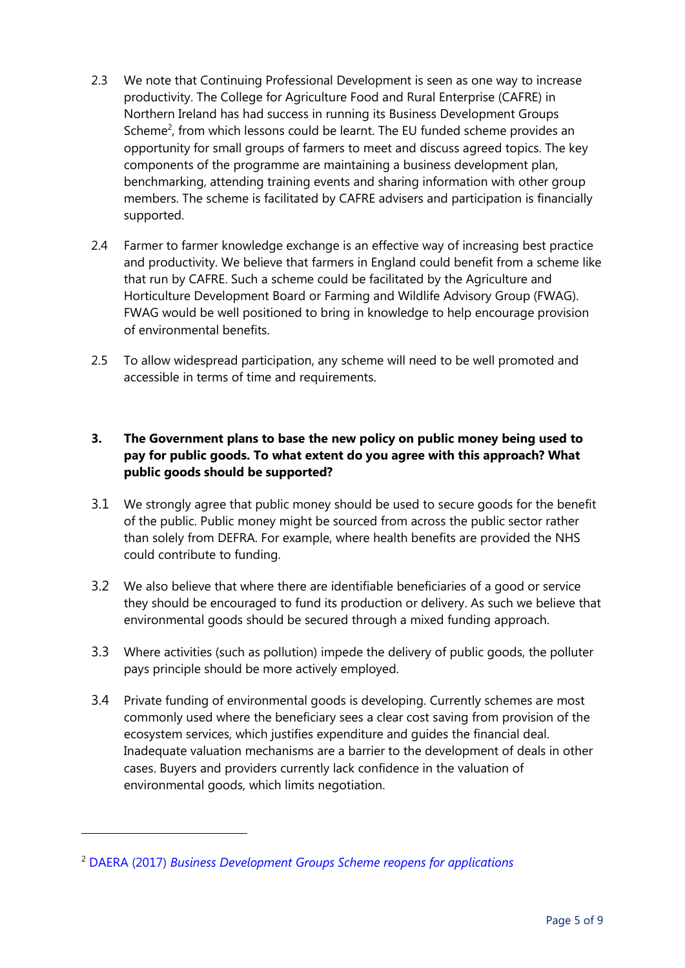- 2.3 We note that Continuing Professional Development is seen as one way to increase productivity. The College for Agriculture Food and Rural Enterprise (CAFRE) in Northern Ireland has had success in running its Business Development Groups Scheme<sup>2</sup>, from which lessons could be learnt. The EU funded scheme provides an opportunity for small groups of farmers to meet and discuss agreed topics. The key components of the programme are maintaining a business development plan, benchmarking, attending training events and sharing information with other group members. The scheme is facilitated by CAFRE advisers and participation is financially supported.
- 2.4 Farmer to farmer knowledge exchange is an effective way of increasing best practice and productivity. We believe that farmers in England could benefit from a scheme like that run by CAFRE. Such a scheme could be facilitated by the Agriculture and Horticulture Development Board or Farming and Wildlife Advisory Group (FWAG). FWAG would be well positioned to bring in knowledge to help encourage provision of environmental benefits.
- 2.5 To allow widespread participation, any scheme will need to be well promoted and accessible in terms of time and requirements.

# **3. The Government plans to base the new policy on public money being used to pay for public goods. To what extent do you agree with this approach? What public goods should be supported?**

- 3.1 We strongly agree that public money should be used to secure goods for the benefit of the public. Public money might be sourced from across the public sector rather than solely from DEFRA. For example, where health benefits are provided the NHS could contribute to funding.
- 3.2 We also believe that where there are identifiable beneficiaries of a good or service they should be encouraged to fund its production or delivery. As such we believe that environmental goods should be secured through a mixed funding approach.
- 3.3 Where activities (such as pollution) impede the delivery of public goods, the polluter pays principle should be more actively employed.
- 3.4 Private funding of environmental goods is developing. Currently schemes are most commonly used where the beneficiary sees a clear cost saving from provision of the ecosystem services, which justifies expenditure and guides the financial deal. Inadequate valuation mechanisms are a barrier to the development of deals in other cases. Buyers and providers currently lack confidence in the valuation of environmental goods, which limits negotiation.

<sup>2</sup> DAERA (2017) *[Business Development Groups Scheme reopens for applications](https://www.daera-ni.gov.uk/news/business-development-groups-scheme-reopens-applications)*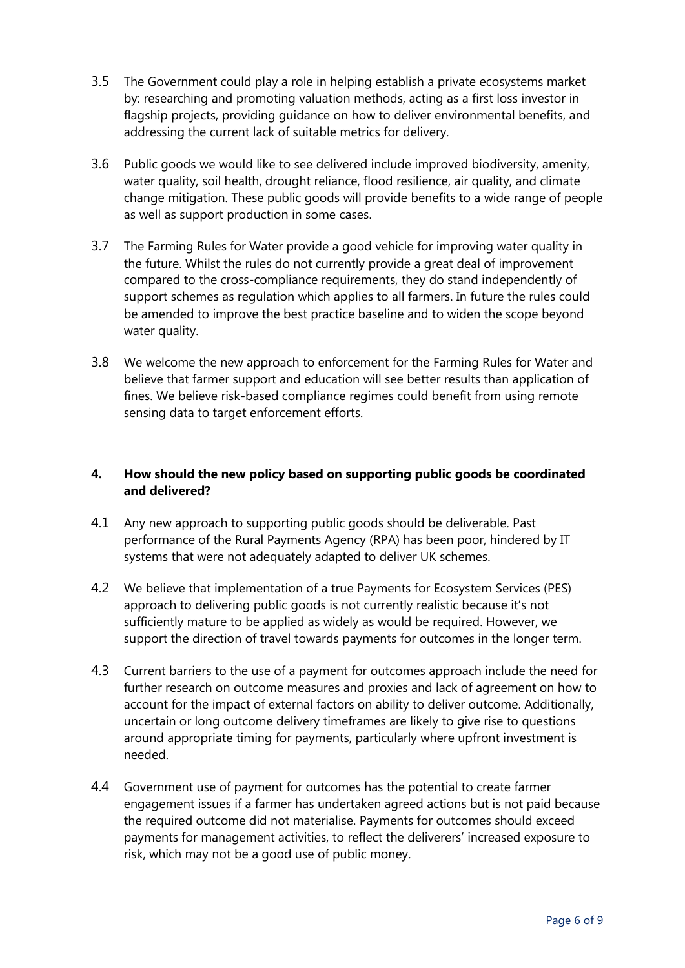- 3.5 The Government could play a role in helping establish a private ecosystems market by: researching and promoting valuation methods, acting as a first loss investor in flagship projects, providing guidance on how to deliver environmental benefits, and addressing the current lack of suitable metrics for delivery.
- 3.6 Public goods we would like to see delivered include improved biodiversity, amenity, water quality, soil health, drought reliance, flood resilience, air quality, and climate change mitigation. These public goods will provide benefits to a wide range of people as well as support production in some cases.
- 3.7 The Farming Rules for Water provide a good vehicle for improving water quality in the future. Whilst the rules do not currently provide a great deal of improvement compared to the cross-compliance requirements, they do stand independently of support schemes as regulation which applies to all farmers. In future the rules could be amended to improve the best practice baseline and to widen the scope beyond water quality.
- 3.8 We welcome the new approach to enforcement for the Farming Rules for Water and believe that farmer support and education will see better results than application of fines. We believe risk-based compliance regimes could benefit from using remote sensing data to target enforcement efforts.

## **4. How should the new policy based on supporting public goods be coordinated and delivered?**

- 4.1 Any new approach to supporting public goods should be deliverable. Past performance of the Rural Payments Agency (RPA) has been poor, hindered by IT systems that were not adequately adapted to deliver UK schemes.
- 4.2 We believe that implementation of a true Payments for Ecosystem Services (PES) approach to delivering public goods is not currently realistic because it's not sufficiently mature to be applied as widely as would be required. However, we support the direction of travel towards payments for outcomes in the longer term.
- 4.3 Current barriers to the use of a payment for outcomes approach include the need for further research on outcome measures and proxies and lack of agreement on how to account for the impact of external factors on ability to deliver outcome. Additionally, uncertain or long outcome delivery timeframes are likely to give rise to questions around appropriate timing for payments, particularly where upfront investment is needed.
- 4.4 Government use of payment for outcomes has the potential to create farmer engagement issues if a farmer has undertaken agreed actions but is not paid because the required outcome did not materialise. Payments for outcomes should exceed payments for management activities, to reflect the deliverers' increased exposure to risk, which may not be a good use of public money.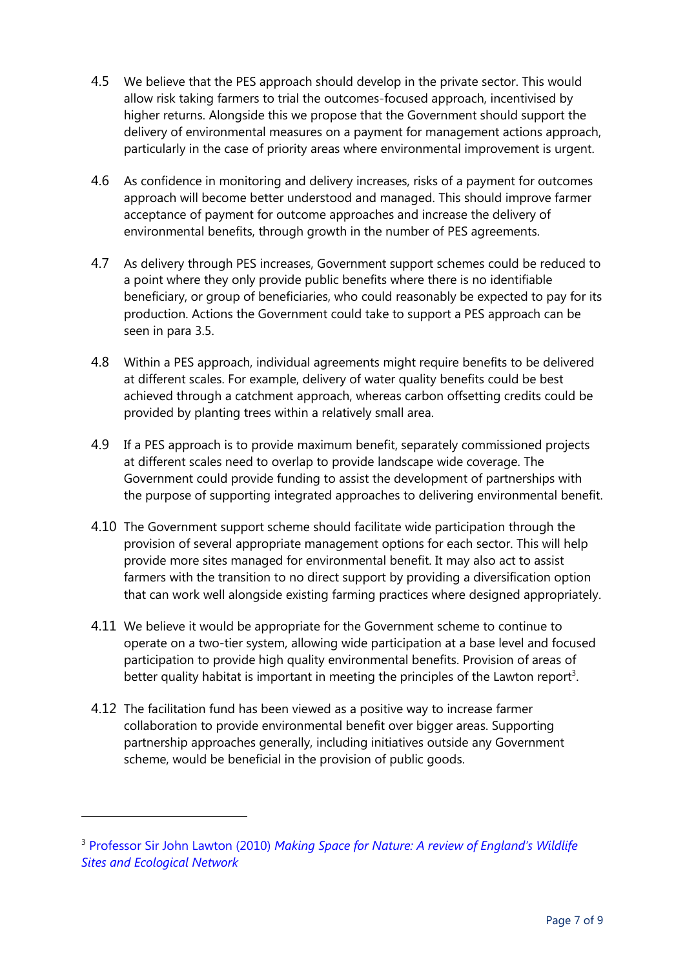- 4.5 We believe that the PES approach should develop in the private sector. This would allow risk taking farmers to trial the outcomes-focused approach, incentivised by higher returns. Alongside this we propose that the Government should support the delivery of environmental measures on a payment for management actions approach, particularly in the case of priority areas where environmental improvement is urgent.
- 4.6 As confidence in monitoring and delivery increases, risks of a payment for outcomes approach will become better understood and managed. This should improve farmer acceptance of payment for outcome approaches and increase the delivery of environmental benefits, through growth in the number of PES agreements.
- 4.7 As delivery through PES increases, Government support schemes could be reduced to a point where they only provide public benefits where there is no identifiable beneficiary, or group of beneficiaries, who could reasonably be expected to pay for its production. Actions the Government could take to support a PES approach can be seen in para 3.5.
- 4.8 Within a PES approach, individual agreements might require benefits to be delivered at different scales. For example, delivery of water quality benefits could be best achieved through a catchment approach, whereas carbon offsetting credits could be provided by planting trees within a relatively small area.
- 4.9 If a PES approach is to provide maximum benefit, separately commissioned projects at different scales need to overlap to provide landscape wide coverage. The Government could provide funding to assist the development of partnerships with the purpose of supporting integrated approaches to delivering environmental benefit.
- 4.10 The Government support scheme should facilitate wide participation through the provision of several appropriate management options for each sector. This will help provide more sites managed for environmental benefit. It may also act to assist farmers with the transition to no direct support by providing a diversification option that can work well alongside existing farming practices where designed appropriately.
- 4.11 We believe it would be appropriate for the Government scheme to continue to operate on a two-tier system, allowing wide participation at a base level and focused participation to provide high quality environmental benefits. Provision of areas of better quality habitat is important in meeting the principles of the Lawton report<sup>3</sup>.
- 4.12 The facilitation fund has been viewed as a positive way to increase farmer collaboration to provide environmental benefit over bigger areas. Supporting partnership approaches generally, including initiatives outside any Government scheme, would be beneficial in the provision of public goods.

<sup>3</sup> Professor Sir John Lawton (2010) *[Making Space for Nature: A review of England's Wildlife](http://webarchive.nationalarchives.gov.uk/20130402170324/http:/archive.defra.gov.uk/environment/biodiversity/documents/201009space-for-nature.pdf)  [Sites and Ecological Network](http://webarchive.nationalarchives.gov.uk/20130402170324/http:/archive.defra.gov.uk/environment/biodiversity/documents/201009space-for-nature.pdf)*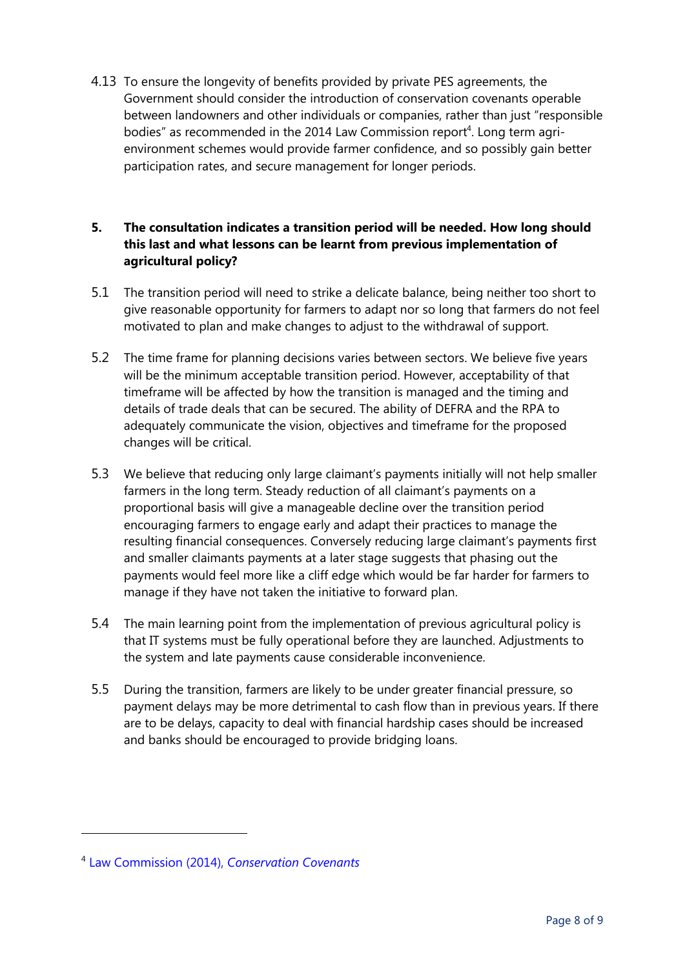4.13 To ensure the longevity of benefits provided by private PES agreements, the Government should consider the introduction of conservation covenants operable between landowners and other individuals or companies, rather than just "responsible bodies" as recommended in the 2014 Law Commission report<sup>4</sup>. Long term agrienvironment schemes would provide farmer confidence, and so possibly gain better participation rates, and secure management for longer periods.

## **5. The consultation indicates a transition period will be needed. How long should this last and what lessons can be learnt from previous implementation of agricultural policy?**

- 5.1 The transition period will need to strike a delicate balance, being neither too short to give reasonable opportunity for farmers to adapt nor so long that farmers do not feel motivated to plan and make changes to adjust to the withdrawal of support.
- 5.2 The time frame for planning decisions varies between sectors. We believe five years will be the minimum acceptable transition period. However, acceptability of that timeframe will be affected by how the transition is managed and the timing and details of trade deals that can be secured. The ability of DEFRA and the RPA to adequately communicate the vision, objectives and timeframe for the proposed changes will be critical.
- 5.3 We believe that reducing only large claimant's payments initially will not help smaller farmers in the long term. Steady reduction of all claimant's payments on a proportional basis will give a manageable decline over the transition period encouraging farmers to engage early and adapt their practices to manage the resulting financial consequences. Conversely reducing large claimant's payments first and smaller claimants payments at a later stage suggests that phasing out the payments would feel more like a cliff edge which would be far harder for farmers to manage if they have not taken the initiative to forward plan.
- 5.4 The main learning point from the implementation of previous agricultural policy is that IT systems must be fully operational before they are launched. Adjustments to the system and late payments cause considerable inconvenience.
- 5.5 During the transition, farmers are likely to be under greater financial pressure, so payment delays may be more detrimental to cash flow than in previous years. If there are to be delays, capacity to deal with financial hardship cases should be increased and banks should be encouraged to provide bridging loans.

<sup>4</sup> Law Commission (2014), *[Conservation Covenants](http://www.lawcom.gov.uk/project/conservation-covenants/#related)*